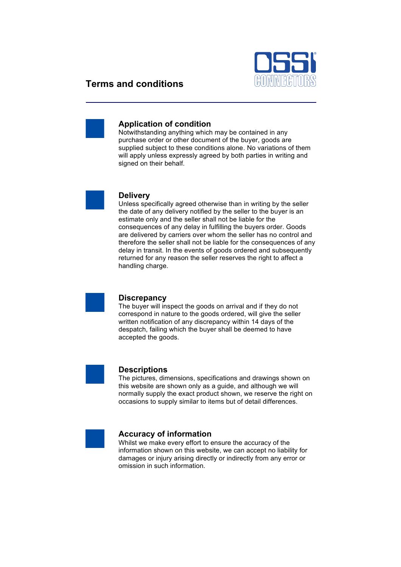

# **Terms and conditions**



## **Application of condition**

Notwithstanding anything which may be contained in any purchase order or other document of the buyer, goods are supplied subject to these conditions alone. No variations of them will apply unless expressly agreed by both parties in writing and signed on their behalf.



#### **Delivery**

Unless specifically agreed otherwise than in writing by the seller the date of any delivery notified by the seller to the buyer is an estimate only and the seller shall not be liable for the consequences of any delay in fulfilling the buyers order. Goods are delivered by carriers over whom the seller has no control and therefore the seller shall not be liable for the consequences of any delay in transit. In the events of goods ordered and subsequently returned for any reason the seller reserves the right to affect a handling charge.



### **Discrepancy**

The buyer will inspect the goods on arrival and if they do not correspond in nature to the goods ordered, will give the seller written notification of any discrepancy within 14 days of the despatch, failing which the buyer shall be deemed to have accepted the goods.



#### **Descriptions**

The pictures, dimensions, specifications and drawings shown on this website are shown only as a guide, and although we will normally supply the exact product shown, we reserve the right on occasions to supply similar to items but of detail differences.



#### **Accuracy of information**

Whilst we make every effort to ensure the accuracy of the information shown on this website, we can accept no liability for damages or injury arising directly or indirectly from any error or omission in such information.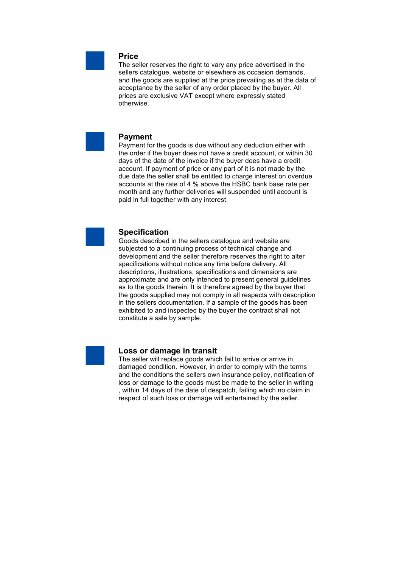

## **Price**

The seller reserves the right to vary any price advertised in the sellers catalogue, website or elsewhere as occasion demands, and the goods are supplied at the price prevailing as at the data of acceptance by the seller of any order placed by the buyer. All prices are exclusive VAT except where expressly stated otherwise.



#### **Payment**

Payment for the goods is due without any deduction either with the order if the buyer does not have a credit account, or within 30 days of the date of the invoice if the buyer does have a credit account. If payment of price or any part of it is not made by the due date the seller shall be entitled to charge interest on overdue accounts at the rate of 4 % above the HSBC bank base rate per month and any further deliveries will suspended until account is paid in full together with any interest.



## **Specification**

Goods described in the sellers catalogue and website are subjected to a continuing process of technical change and development and the seller therefore reserves the right to alter specifications without notice any time before delivery. All descriptions, illustrations, specifications and dimensions are approximate and are only intended to present general guidelines as to the goods therein. It is therefore agreed by the buyer that the goods supplied may not comply in all respects with description in the sellers documentation. If a sample of the goods has been exhibited to and inspected by the buyer the contract shall not constitute a sale by sample.



#### **Loss or damage in transit**

The seller will replace goods which fail to arrive or arrive in damaged condition. However, in order to comply with the terms and the conditions the sellers own insurance policy, notification of loss or damage to the goods must be made to the seller in writing , within 14 days of the date of despatch, failing which no claim in respect of such loss or damage will entertained by the seller.